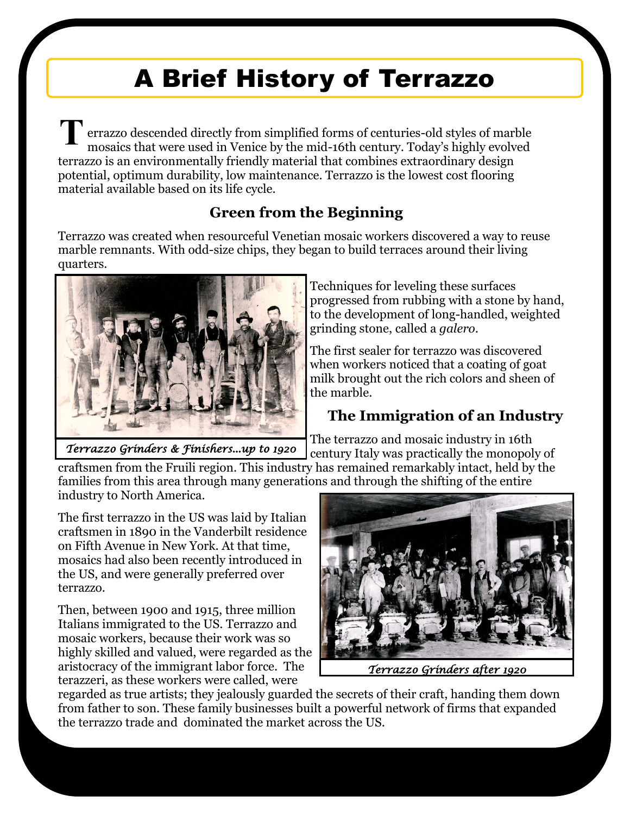# A Brief History of Terrazzo

errazzo descended directly from simplified forms of centuries-old styles of marble mosaics that were used in Venice by the mid-16th century. Today's highly evolved terrazzo is an environmentally friendly material that combines extraordinary design potential, optimum durability, low maintenance. Terrazzo is the lowest cost flooring material available based on its life cycle. **T**

#### **Green from the Beginning**

Terrazzo was created when resourceful Venetian mosaic workers discovered a way to reuse marble remnants. With odd-size chips, they began to build terraces around their living quarters.



*Terrazzo Grinders & Finishers...up to 1920* 

Techniques for leveling these surfaces progressed from rubbing with a stone by hand, to the development of long-handled, weighted grinding stone, called a *galero*.

The first sealer for terrazzo was discovered when workers noticed that a coating of goat milk brought out the rich colors and sheen of the marble.

## **The Immigration of an Industry**

The terrazzo and mosaic industry in 16th century Italy was practically the monopoly of

craftsmen from the Fruili region. This industry has remained remarkably intact, held by the families from this area through many generations and through the shifting of the entire industry to North America.

The first terrazzo in the US was laid by Italian craftsmen in 1890 in the Vanderbilt residence on Fifth Avenue in New York. At that time, mosaics had also been recently introduced in the US, and were generally preferred over terrazzo.

Then, between 1900 and 1915, three million Italians immigrated to the US. Terrazzo and mosaic workers, because their work was so highly skilled and valued, were regarded as the aristocracy of the immigrant labor force. The terazzeri, as these workers were called, were



*Terrazzo Grinders after 1920* 

regarded as true artists; they jealously guarded the secrets of their craft, handing them down from father to son. These family businesses built a powerful network of firms that expanded the terrazzo trade and dominated the market across the US.